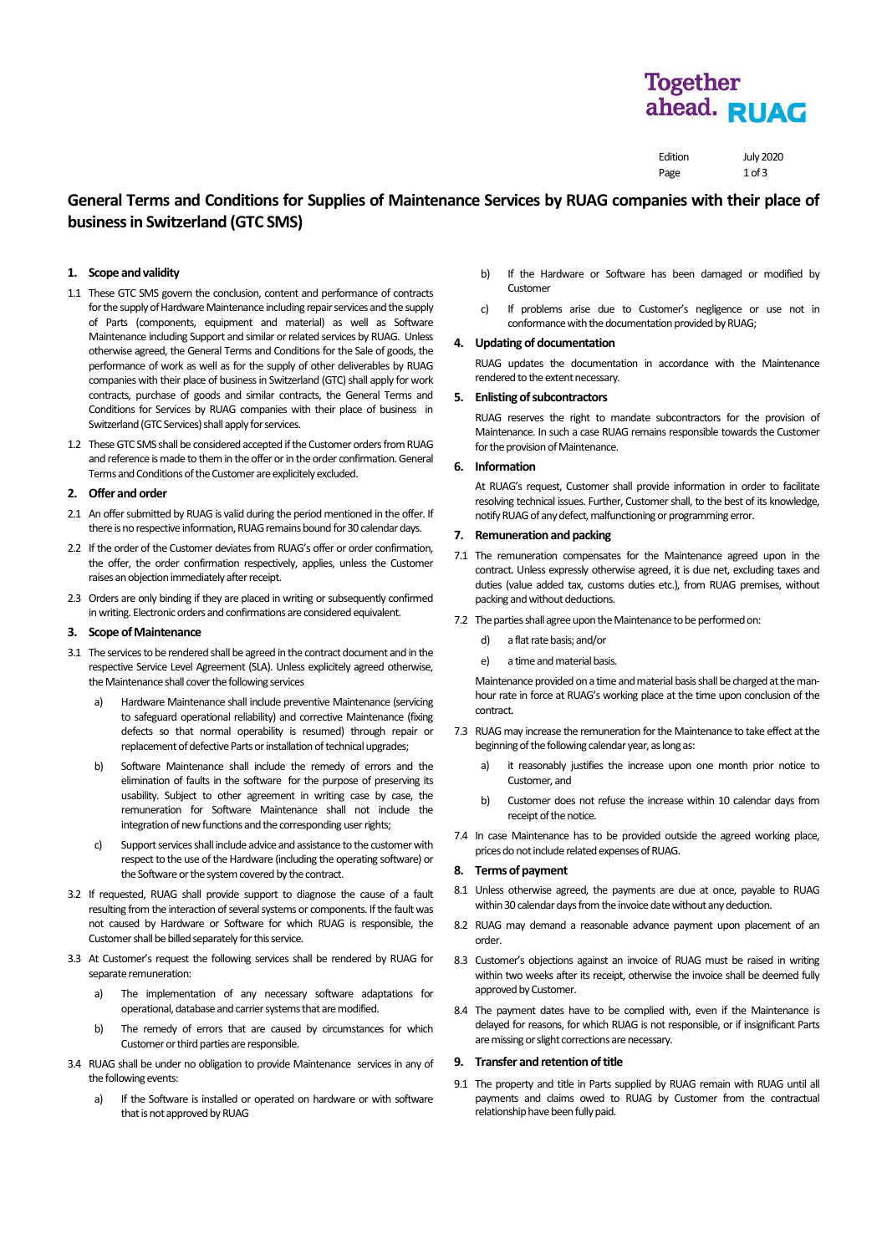## **Together** ahead. RUAG

| Edition | <b>July 2020</b> |
|---------|------------------|
| Page    | 1 of 3           |

## **General Terms and Conditions for Supplies of Maintenance Services by RUAG companies with their place of business in Switzerland (GTC SMS)**

## **1. Scope and validity**

- 1.1 These GTC SMS govern the conclusion, content and performance of contracts for the supply of Hardware Maintenance including repair services and the supply of Parts (components, equipment and material) as well as Software Maintenance including Support and similar or related services by RUAG. Unless otherwise agreed, the General Terms and Conditions for the Sale of goods, the performance of work as well as for the supply of other deliverables by RUAG companies with their place of business in Switzerland (GTC) shall apply for work contracts, purchase of goods and similar contracts, the General Terms and Conditions for Services by RUAG companies with their place of business in Switzerland (GTC Services) shall apply for services.
- 1.2 These GTC SMS shall be considered accepted if the Customer orders from RUAG and reference is made to them in the offer or in the order confirmation. General Terms and Conditions of the Customer are explicitely excluded.

#### **2. Offer and order**

- 2.1 An offer submitted by RUAG is valid during the period mentioned in the offer. If there is no respective information, RUAG remains bound for 30 calendar days.
- 2.2 If the order of the Customer deviates from RUAG's offer or order confirmation, the offer, the order confirmation respectively, applies, unless the Customer raises an objection immediately after receipt.
- 2.3 Orders are only binding if they are placed in writing or subsequently confirmed in writing. Electronic orders and confirmations are considered equivalent.

## **3. Scope of Maintenance**

- 3.1 The services to be rendered shall be agreed in the contract document and in the respective Service Level Agreement (SLA). Unless explicitely agreed otherwise, the Maintenance shall cover the following services
	- a) Hardware Maintenance shall include preventive Maintenance (servicing to safeguard operational reliability) and corrective Maintenance (fixing defects so that normal operability is resumed) through repair or replacement of defective Parts or installation of technical upgrades;
	- b) Software Maintenance shall include the remedy of errors and the elimination of faults in the software for the purpose of preserving its usability. Subject to other agreement in writing case by case, the remuneration for Software Maintenance shall not include the integration of new functions and the corresponding user rights;
	- c) Support services shall include advice and assistance to the customerwith respect to the use of the Hardware (including the operating software) or the Software or the system covered by the contract.
- 3.2 If requested, RUAG shall provide support to diagnose the cause of a fault resulting from the interaction of several systems or components. If the fault was not caused by Hardware or Software for which RUAG is responsible, the Customer shall be billed separately for this service.
- 3.3 At Customer's request the following services shall be rendered by RUAG for separate remuneration:
	- a) The implementation of any necessary software adaptations for operational, database and carrier systems that are modified.
	- b) The remedy of errors that are caused by circumstances for which Customer or third parties are responsible.
- 3.4 RUAG shall be under no obligation to provide Maintenance services in any of the following events:
	- a) If the Software is installed or operated on hardware or with software that is not approved by RUAG
- b) If the Hardware or Software has been damaged or modified by **Customer**
- c) If problems arise due to Customer's negligence or use not in conformance with the documentation provided by RUAG;

## **4. Updating of documentation**

RUAG updates the documentation in accordance with the Maintenance rendered to the extent necessary.

## **5. Enlisting of subcontractors**

RUAG reserves the right to mandate subcontractors for the provision of Maintenance. In such a case RUAG remains responsible towards the Customer for the provision of Maintenance.

## **6. Information**

At RUAG's request, Customer shall provide information in order to facilitate resolving technical issues. Further, Customer shall, to the best of its knowledge, notify RUAG of any defect, malfunctioning or programming error.

## **7. Remunerationand packing**

- 7.1 The remuneration compensates for the Maintenance agreed upon in the contract. Unless expressly otherwise agreed, it is due net, excluding taxes and duties (value added tax, customs duties etc.), from RUAG premises, without packing and without deductions.
- 7.2 The parties shall agree upon the Maintenance to be performed on:
	- d) a flat rate basis; and/or
	- e) a time and material basis.

Maintenance provided on a time and material basis shall be charged at the manhour rate in force at RUAG's working place at the time upon conclusion of the contract.

- 7.3 RUAG may increase the remuneration for the Maintenance to take effect at the beginning of the following calendar year, as long as:
	- a) it reasonably justifies the increase upon one month prior notice to Customer, and
	- b) Customer does not refuse the increase within 10 calendar days from receipt of the notice.
- 7.4 In case Maintenance has to be provided outside the agreed working place, prices do not include related expenses of RUAG.

## **8. Terms of payment**

- 8.1 Unless otherwise agreed, the payments are due at once, payable to RUAG within 30 calendar days from the invoice date without any deduction.
- 8.2 RUAG may demand a reasonable advance payment upon placement of an order.
- 8.3 Customer's objections against an invoice of RUAG must be raised in writing within two weeks after its receipt, otherwise the invoice shall be deemed fully approved by Customer.
- 8.4 The payment dates have to be complied with, even if the Maintenance is delayed for reasons, for which RUAG is not responsible, or if insignificant Parts are missing or slight corrections are necessary.

## **9. Transfer and retention of title**

9.1 The property and title in Parts supplied by RUAG remain with RUAG until all payments and claims owed to RUAG by Customer from the contractual relationship have been fully paid.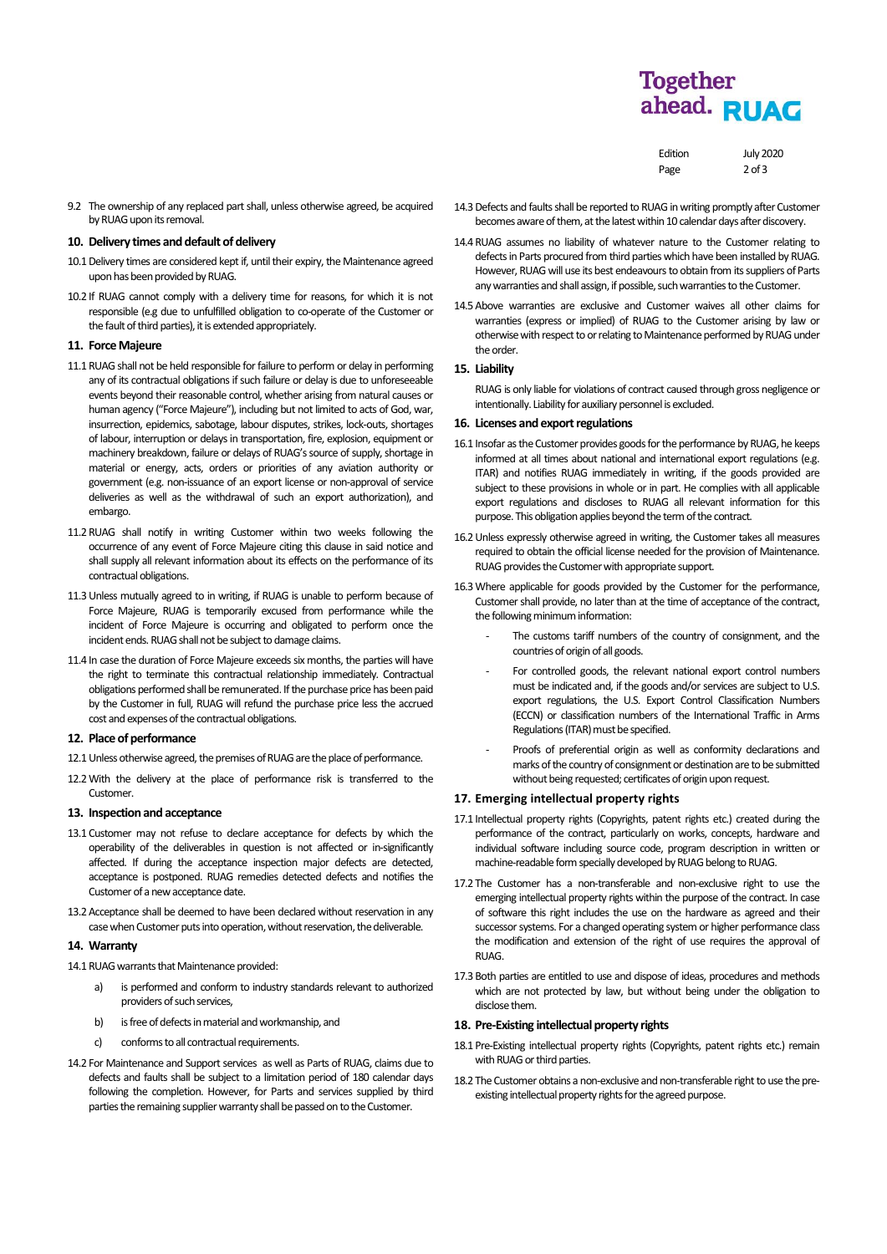# **Together** ahead. RUAG

Edition July 2020 Page 2 of 3

| 9.2 The ownership of any replaced part shall, unless otherwise agreed, be acquired |
|------------------------------------------------------------------------------------|
| by RUAG upon its removal.                                                          |

#### **10. Delivery times and default of delivery**

- 10.1Delivery times are considered kept if, until their expiry, the Maintenance agreed upon has been provided by RUAG.
- 10.2 If RUAG cannot comply with a delivery time for reasons, for which it is not responsible (e.g due to unfulfilled obligation to co-operate of the Customer or the fault of third parties), it is extended appropriately.

## **11. Force Majeure**

- 11.1RUAG shall not be held responsible for failure to perform or delay in performing any of its contractual obligations if such failure or delay is due to unforeseeable events beyond their reasonable control, whether arising from natural causes or human agency ("Force Majeure"), including but not limited to acts of God, war, insurrection, epidemics, sabotage, labour disputes, strikes, lock-outs, shortages of labour, interruption or delays in transportation, fire, explosion, equipment or machinery breakdown, failure or delays of RUAG's source of supply, shortage in material or energy, acts, orders or priorities of any aviation authority or government (e.g. non-issuance of an export license or non-approval of service deliveries as well as the withdrawal of such an export authorization), and embargo.
- 11.2RUAG shall notify in writing Customer within two weeks following the occurrence of any event of Force Majeure citing this clause in said notice and shall supply all relevant information about its effects on the performance of its contractual obligations.
- 11.3Unless mutually agreed to in writing, if RUAG is unable to perform because of Force Majeure, RUAG is temporarily excused from performance while the incident of Force Majeure is occurring and obligated to perform once the incident ends. RUAG shall not be subject to damage claims.
- 11.4 In case the duration of Force Majeure exceeds six months, the parties will have the right to terminate this contractual relationship immediately. Contractual obligations performed shall be remunerated. If the purchase price has been paid by the Customer in full, RUAG will refund the purchase price less the accrued cost and expenses of the contractual obligations.

#### **12. Place of performance**

- 12.1 Unless otherwise agreed, the premises of RUAG are the place of performance.
- 12.2With the delivery at the place of performance risk is transferred to the Customer.

## **13. Inspection and acceptance**

- 13.1 Customer may not refuse to declare acceptance for defects by which the operability of the deliverables in question is not affected or in-significantly affected. If during the acceptance inspection major defects are detected, acceptance is postponed. RUAG remedies detected defects and notifies the Customer of a new acceptance date.
- 13.2Acceptance shall be deemed to have been declared without reservation in any case when Customer puts into operation, without reservation, the deliverable.

## **14. Warranty**

- 14.1 RUAG warrants that Maintenance provided:
	- a) is performed and conform to industry standards relevant to authorized providers of such services,
	- b) is free of defects in material and workmanship, and
	- c) conforms to all contractual requirements.
- 14.2 For Maintenance and Support services as well as Parts of RUAG, claims due to defects and faults shall be subject to a limitation period of 180 calendar days following the completion. However, for Parts and services supplied by third parties the remaining supplier warranty shall be passed on to the Customer.
- 14.3Defects and faults shall be reported to RUAG in writing promptly after Customer becomes aware of them, at the latest within 10 calendar days after discovery.
- 14.4RUAG assumes no liability of whatever nature to the Customer relating to defects in Parts procured from third parties which have been installed by RUAG. However, RUAG will use its best endeavours to obtain from its suppliers of Parts any warranties and shall assign, if possible, such warranties to the Customer.
- 14.5Above warranties are exclusive and Customer waives all other claims for warranties (express or implied) of RUAG to the Customer arising by law or otherwise with respect to or relating to Maintenance performed by RUAG under the order.

#### **15. Liability**

RUAG is only liable for violations of contract caused through gross negligence or intentionally. Liability for auxiliary personnel is excluded.

## **16. Licenses and export regulations**

- 16.1 Insofar as the Customer provides goods for the performance by RUAG, he keeps informed at all times about national and international export regulations (e.g. ITAR) and notifies RUAG immediately in writing, if the goods provided are subject to these provisions in whole or in part. He complies with all applicable export regulations and discloses to RUAG all relevant information for this purpose.This obligation applies beyond the term of the contract.
- 16.2Unless expressly otherwise agreed in writing, the Customer takes all measures required to obtain the official license needed for the provision of Maintenance. RUAG provides the Customer with appropriate support.
- 16.3Where applicable for goods provided by the Customer for the performance, Customer shall provide, no later than at the time of acceptance of the contract, the following minimum information:
	- The customs tariff numbers of the country of consignment, and the countries of origin of all goods.
	- For controlled goods, the relevant national export control numbers must be indicated and, if the goods and/or services are subject to U.S. export regulations, the U.S. Export Control Classification Numbers (ECCN) or classification numbers of the International Traffic in Arms Regulations (ITAR) must be specified.
	- Proofs of preferential origin as well as conformity declarations and marks of the country of consignment or destination are to be submitted without being requested; certificates of origin upon request.

## **17. Emerging intellectual property rights**

- 17.1 Intellectual property rights (Copyrights, patent rights etc.) created during the performance of the contract, particularly on works, concepts, hardware and individual software including source code, program description in written or machine-readable form specially developed by RUAG belong to RUAG.
- 17.2 The Customer has a non-transferable and non-exclusive right to use the emerging intellectual property rights within the purpose of the contract. In case of software this right includes the use on the hardware as agreed and their successor systems. For a changed operating system or higher performance class the modification and extension of the right of use requires the approval of RUAG.
- 17.3Both parties are entitled to use and dispose of ideas, procedures and methods which are not protected by law, but without being under the obligation to disclose them.

## 18. Pre-Existing intellectual property rights

- 18.1 Pre-Existing intellectual property rights (Copyrights, patent rights etc.) remain with RUAG or third parties.
- 18.2 The Customer obtains a non-exclusive and non-transferable right to use the preexisting intellectual property rights for the agreed purpose.